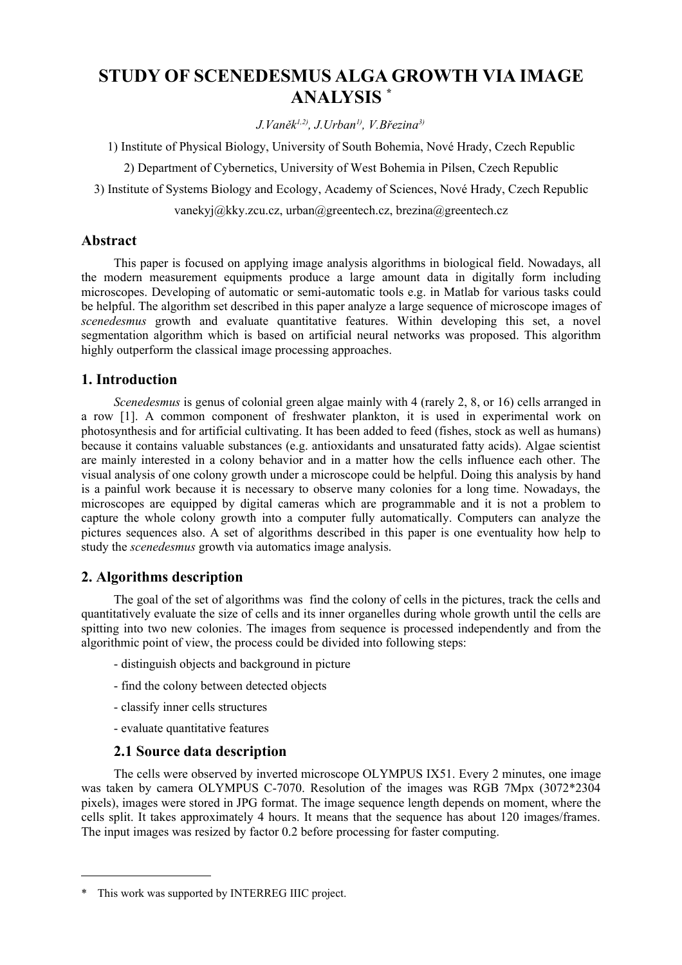# **STUDY OF SCENEDESMUS ALGA GROWTH VIA IMAGE ANALYSIS [\\*](#page-0-0)**

*J.Vaněk 1,2) , J.Urban1) , V.Březina3)*

1) Institute of Physical Biology, University of South Bohemia, Nové Hrady, Czech Republic

2) Department of Cybernetics, University of West Bohemia in Pilsen, Czech Republic

3) Institute of Systems Biology and Ecology, Academy of Sciences, Nové Hrady, Czech Republic

vanekyj@kky.zcu.cz, urban@greentech.cz, brezina@greentech.cz

## **Abstract**

This paper is focused on applying image analysis algorithms in biological field. Nowadays, all the modern measurement equipments produce a large amount data in digitally form including microscopes. Developing of automatic or semi-automatic tools e.g. in Matlab for various tasks could be helpful. The algorithm set described in this paper analyze a large sequence of microscope images of *scenedesmus* growth and evaluate quantitative features. Within developing this set, a novel segmentation algorithm which is based on artificial neural networks was proposed. This algorithm highly outperform the classical image processing approaches.

# **1. Introduction**

*Scenedesmus* is genus of colonial green algae mainly with 4 (rarely 2, 8, or 16) cells arranged in a row [1]. A common component of freshwater plankton, it is used in experimental work on photosynthesis and for artificial cultivating. It has been added to feed (fishes, stock as well as humans) because it contains valuable substances (e.g. antioxidants and unsaturated fatty acids). Algae scientist are mainly interested in a colony behavior and in a matter how the cells influence each other. The visual analysis of one colony growth under a microscope could be helpful. Doing this analysis by hand is a painful work because it is necessary to observe many colonies for a long time. Nowadays, the microscopes are equipped by digital cameras which are programmable and it is not a problem to capture the whole colony growth into a computer fully automatically. Computers can analyze the pictures sequences also. A set of algorithms described in this paper is one eventuality how help to study the *scenedesmus* growth via automatics image analysis.

# **2. Algorithms description**

The goal of the set of algorithms was find the colony of cells in the pictures, track the cells and quantitatively evaluate the size of cells and its inner organelles during whole growth until the cells are spitting into two new colonies. The images from sequence is processed independently and from the algorithmic point of view, the process could be divided into following steps:

- distinguish objects and background in picture
- find the colony between detected objects
- classify inner cells structures
- evaluate quantitative features

## **2.1 Source data description**

The cells were observed by inverted microscope OLYMPUS IX51. Every 2 minutes, one image was taken by camera OLYMPUS C-7070. Resolution of the images was RGB 7Mpx (3072\*2304 pixels), images were stored in JPG format. The image sequence length depends on moment, where the cells split. It takes approximately 4 hours. It means that the sequence has about 120 images/frames. The input images was resized by factor 0.2 before processing for faster computing.

<span id="page-0-0"></span><sup>\*</sup> This work was supported by INTERREG IIIC project.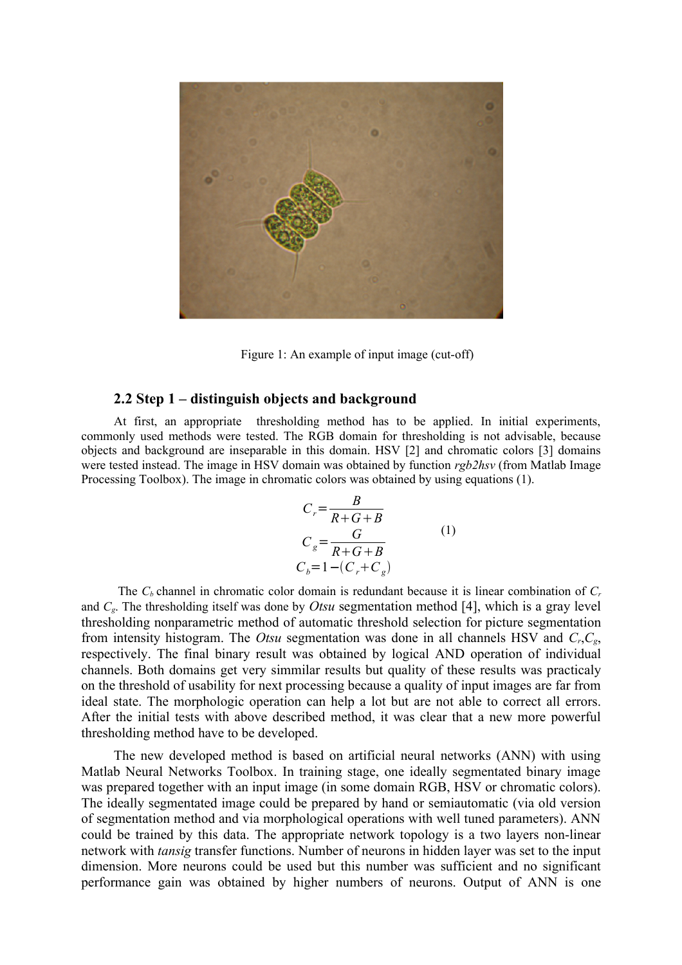

Figure 1: An example of input image (cut-off)

#### **2.2 Step 1 – distinguish objects and background**

At first an appropriate thresholding method has to be applied. In initial experiments commonly used methods were tested. The RGB domain for thresholding is not advisable, because objects and background are inseparable in this domain. HSV [2] and chromatic colors [3] domains were tested instead. The image in HSV domain was obtained by function *rgb2hsv* (from Matlab Image Processing Toolbox). The image in chromatic colors was obtained by using equations (1).

$$
C_r = \frac{B}{R+G+B}
$$
  
\n
$$
C_g = \frac{G}{R+G+B}
$$
  
\n
$$
C_b = 1 - (C_r + C_g)
$$
 (1)

The *C<sup>b</sup>* channel in chromatic color domain is redundant because it is linear combination of *C<sup>r</sup>* and *Cg*. The thresholding itself was done by *Otsu* segmentation method [4], which is a gray level thresholding nonparametric method of automatic threshold selection for picture segmentation from intensity histogram. The *Otsu* segmentation was done in all channels HSV and *Cr*,*Cg*, respectively. The final binary result was obtained by logical AND operation of individual channels. Both domains get very simmilar results but quality of these results was practicaly on the threshold of usability for next processing because a quality of input images are far from ideal state. The morphologic operation can help a lot but are not able to correct all errors. After the initial tests with above described method, it was clear that a new more powerful thresholding method have to be developed.

The new developed method is based on artificial neural networks (ANN) with using Matlab Neural Networks Toolbox. In training stage, one ideally segmentated binary image was prepared together with an input image (in some domain RGB, HSV or chromatic colors). The ideally segmentated image could be prepared by hand or semiautomatic (via old version of segmentation method and via morphological operations with well tuned parameters). ANN could be trained by this data. The appropriate network topology is a two layers non-linear network with *tansig* transfer functions. Number of neurons in hidden layer was set to the input dimension. More neurons could be used but this number was sufficient and no significant performance gain was obtained by higher numbers of neurons. Output of ANN is one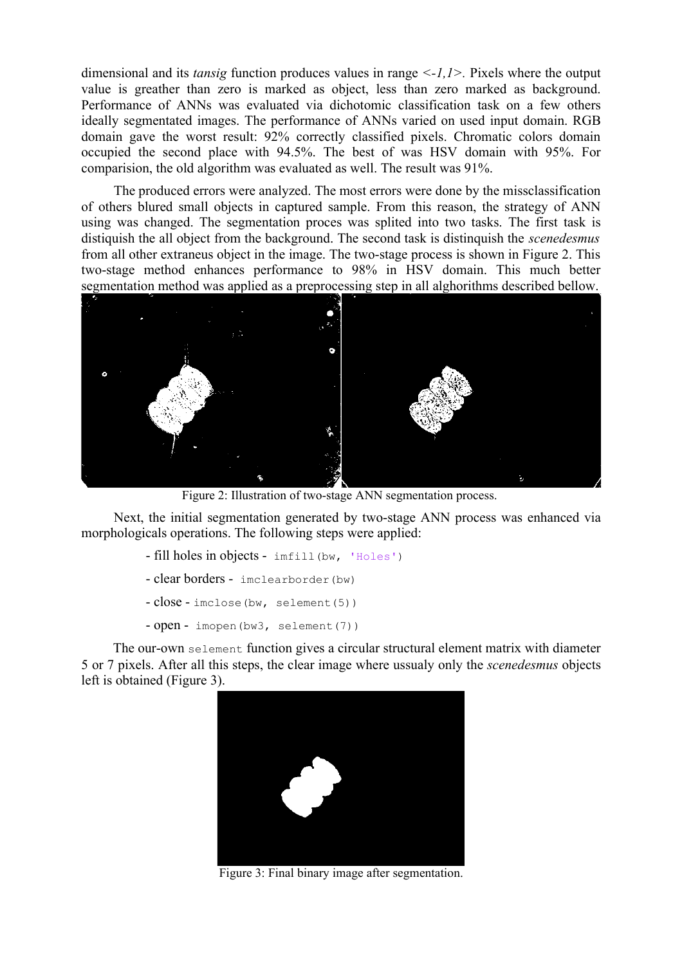dimensional and its *tansig* function produces values in range *<-1,1>.* Pixels where the output value is greather than zero is marked as object, less than zero marked as background. Performance of ANNs was evaluated via dichotomic classification task on a few others ideally segmentated images. The performance of ANNs varied on used input domain. RGB domain gave the worst result: 92% correctly classified pixels. Chromatic colors domain occupied the second place with 94.5%. The best of was HSV domain with 95%. For comparision, the old algorithm was evaluated as well. The result was 91%.

The produced errors were analyzed. The most errors were done by the missclassification of others blured small objects in captured sample. From this reason, the strategy of ANN using was changed. The segmentation proces was splited into two tasks. The first task is distiquish the all object from the background. The second task is distinquish the *scenedesmus* from all other extraneus object in the image. The two-stage process is shown in Figure 2. This two-stage method enhances performance to 98% in HSV domain. This much better segmentation method was applied as a preprocessing step in all alghorithms described bellow.



Figure 2: Illustration of two-stage ANN segmentation process.

Next, the initial segmentation generated by two-stage ANN process was enhanced via morphologicals operations. The following steps were applied:

- fill holes in objects imfill(bw, 'Holes')
- clear borders imclearborder(bw)
- $close$  imclose(bw, selement(5))
- open imopen(bw3, selement(7))

The our-own selement function gives a circular structural element matrix with diameter 5 or 7 pixels. After all this steps, the clear image where ussualy only the *scenedesmus* objects left is obtained (Figure 3).



Figure 3: Final binary image after segmentation.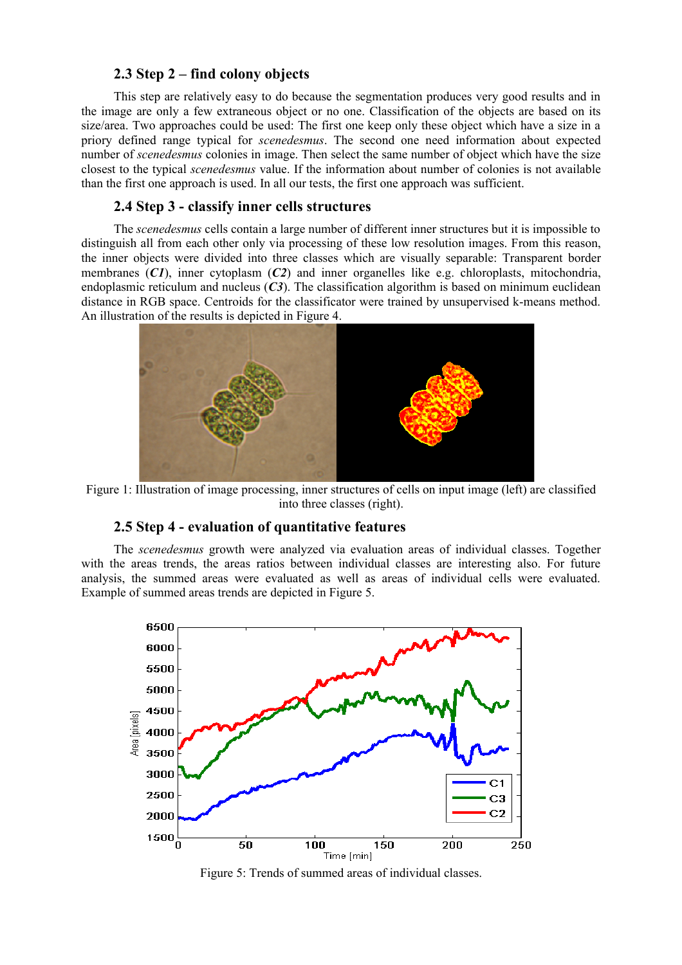#### **2.3 Step 2 – find colony objects**

This step are relatively easy to do because the segmentation produces very good results and in the image are only a few extraneous object or no one. Classification of the objects are based on its size/area. Two approaches could be used: The first one keep only these object which have a size in a priory defined range typical for *scenedesmus*. The second one need information about expected number of *scenedesmus* colonies in image. Then select the same number of object which have the size closest to the typical *scenedesmus* value. If the information about number of colonies is not available than the first one approach is used. In all our tests, the first one approach was sufficient.

## **2.4 Step 3 - classify inner cells structures**

The *scenedesmus* cells contain a large number of different inner structures but it is impossible to distinguish all from each other only via processing of these low resolution images. From this reason, the inner objects were divided into three classes which are visually separable: Transparent border membranes (*C1*), inner cytoplasm (*C2*) and inner organelles like e.g. chloroplasts, mitochondria, endoplasmic reticulum and nucleus  $(C3)$ . The classification algorithm is based on minimum euclidean distance in RGB space. Centroids for the classificator were trained by unsupervised k-means method. An illustration of the results is depicted in Figure 4.



Figure 1: Illustration of image processing, inner structures of cells on input image (left) are classified into three classes (right).

# **2.5 Step 4 - evaluation of quantitative features**

The *scenedesmus* growth were analyzed via evaluation areas of individual classes. Together with the areas trends, the areas ratios between individual classes are interesting also. For future analysis, the summed areas were evaluated as well as areas of individual cells were evaluated. Example of summed areas trends are depicted in Figure 5.



Figure 5: Trends of summed areas of individual classes.